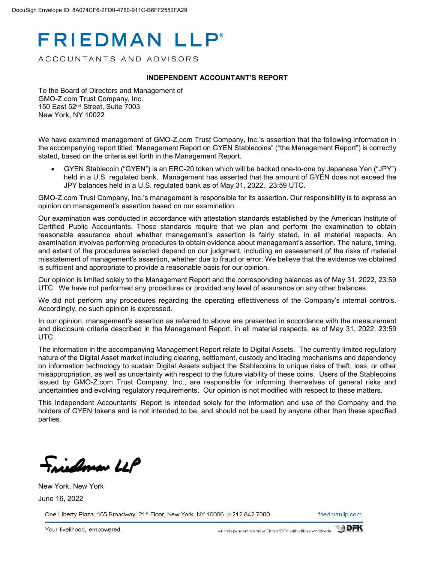# **FRIEDMAN LLP®**

ACCOUNTANTS AND ADVISORS

#### **INDEPENDENT ACCOUNTANT'S REPORT**

To the Board of Directors and Management of GMO-Z.com Trust Company, Inc. 150 East 52nd Street, Suite 7003 New York, NY 10022

We have examined management of GMO-Z.com Trust Company, Inc.'s assertion that the following information in the accompanying report titled "Management Report on GYEN Stablecoins" ("the Management Report") is correctly stated, based on the criteria set forth in the Management Report.

• GYEN Stablecoin ("GYEN") is an ERC-20 token which will be backed one-to-one by Japanese Yen ("JPY") held in a U.S. regulated bank. Management has asserted that the amount of GYEN does not exceed the JPY balances held in a U.S. regulated bank as of May 31, 2022, 23:59 UTC.

GMO-Z.com Trust Company, Inc.'s management is responsible for its assertion. Our responsibility is to express an opinion on management's assertion based on our examination.

Our examination was conducted in accordance with attestation standards established by the American Institute of Certified Public Accountants. Those standards require that we plan and perform the examination to obtain reasonable assurance about whether management's assertion is fairly stated, in all material respects. An examination involves performing procedures to obtain evidence about management's assertion. The nature, timing, and extent of the procedures selected depend on our judgment, including an assessment of the risks of material misstatement of management's assertion, whether due to fraud or error. We believe that the evidence we obtained is sufficient and appropriate to provide a reasonable basis for our opinion.

Our opinion is limited solely to the Management Report and the corresponding balances as of May 31, 2022, 23:59 UTC. We have not performed any procedures or provided any level of assurance on any other balances.

We did not perform any procedures regarding the operating effectiveness of the Company's internal controls. Accordingly, no such opinion is expressed.

In our opinion, management's assertion as referred to above are presented in accordance with the measurement and disclosure criteria described in the Management Report, in all material respects, as of May 31, 2022, 23:59 UTC.

The information in the accompanying Management Report relate to Digital Assets. The currently limited regulatory nature of the Digital Asset market including clearing, settlement, custody and trading mechanisms and dependency on information technology to sustain Digital Assets subject the Stablecoins to unique risks of theft, loss, or other misappropriation, as well as uncertainty with respect to the future viability of these coins. Users of the Stablecoins issued by GMO-Z.com Trust Company, Inc., are responsible for informing themselves of general risks and uncertainties and evolving regulatory requirements. Our opinion is not modified with respect to these matters.

This Independent Accountants' Report is intended solely for the information and use of the Company and the holders of GYEN tokens and is not intended to be, and should not be used by anyone other than these specified parties.

isdoman LLP

New York, New York June 16, 2022

One Liberty Plaza, 165 Broadway, 21st Floor, New York, NY 10006 p 212.842.7000

friedmanllp.com

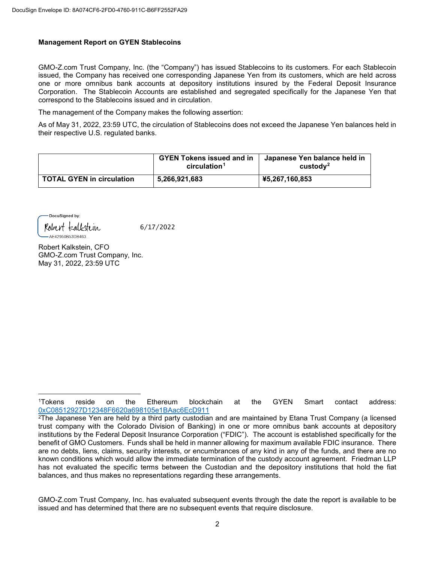### **Management Report on GYEN Stablecoins**

GMO-Z.com Trust Company, Inc. (the "Company") has issued Stablecoins to its customers. For each Stablecoin issued, the Company has received one corresponding Japanese Yen from its customers, which are held across one or more omnibus bank accounts at depository institutions insured by the Federal Deposit Insurance Corporation. The Stablecoin Accounts are established and segregated specifically for the Japanese Yen that correspond to the Stablecoins issued and in circulation.

The management of the Company makes the following assertion:

As of May 31, 2022, 23:59 UTC, the circulation of Stablecoins does not exceed the Japanese Yen balances held in their respective U.S. regulated banks.

|                                  | <b>GYEN Tokens issued and in</b><br>circulation <sup>1</sup> | Japanese Yen balance held in<br>$\mu$ custody <sup>2</sup> |
|----------------------------------|--------------------------------------------------------------|------------------------------------------------------------|
| <b>TOTAL GYEN in circulation</b> | 5,266,921,683                                                | ¥5,267,160,853                                             |

DocuSigned by: Robert kalkstein AE42950B53DB463.

 $\overline{\phantom{a}}$ 

6/17/2022

Robert Kalkstein, CFO GMO-Z.com Trust Company, Inc. May 31, 2022, 23:59 UTC

<sup>1</sup>Tokens reside on the Ethereum blockchain at the GYEN Smart contact address: [0xC08512927D12348F6620a698105e1BAac6EcD911](https://etherscan.io/address/0xC08512927D12348F6620a698105e1BAac6EcD911)

<sup>2</sup>The Japanese Yen are held by a third party custodian and are maintained by Etana Trust Company (a licensed trust company with the Colorado Division of Banking) in one or more omnibus bank accounts at depository institutions by the Federal Deposit Insurance Corporation ("FDIC"). The account is established specifically for the benefit of GMO Customers. Funds shall be held in manner allowing for maximum available FDIC insurance. There are no debts, liens, claims, security interests, or encumbrances of any kind in any of the funds, and there are no known conditions which would allow the immediate termination of the custody account agreement. Friedman LLP has not evaluated the specific terms between the Custodian and the depository institutions that hold the fiat balances, and thus makes no representations regarding these arrangements.

GMO-Z.com Trust Company, Inc. has evaluated subsequent events through the date the report is available to be issued and has determined that there are no subsequent events that require disclosure.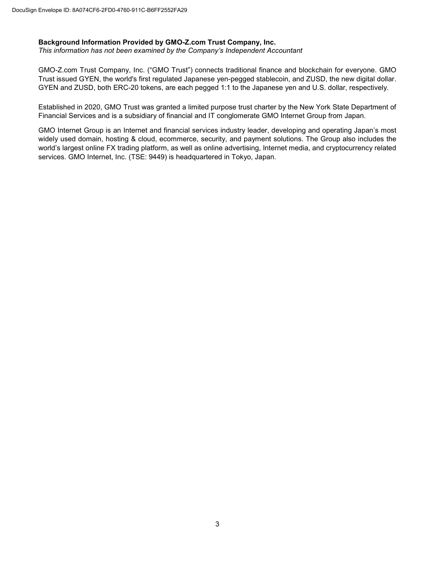### **Background Information Provided by GMO-Z.com Trust Company, Inc.**

*This information has not been examined by the Company's Independent Accountant*

GMO-Z.com Trust Company, Inc. ("GMO Trust") connects traditional finance and blockchain for everyone. GMO Trust issued GYEN, the world's first regulated Japanese yen-pegged stablecoin, and ZUSD, the new digital dollar. GYEN and ZUSD, both ERC-20 tokens, are each pegged 1:1 to the Japanese yen and U.S. dollar, respectively.

Established in 2020, GMO Trust was granted a limited purpose trust charter by the New York State Department of Financial Services and is a subsidiary of financial and IT conglomerate GMO Internet Group from Japan.

GMO Internet Group is an Internet and financial services industry leader, developing and operating Japan's most widely used domain, hosting & cloud, ecommerce, security, and payment solutions. The Group also includes the world's largest online FX trading platform, as well as online advertising, Internet media, and cryptocurrency related services. GMO Internet, Inc. (TSE: 9449) is headquartered in Tokyo, Japan.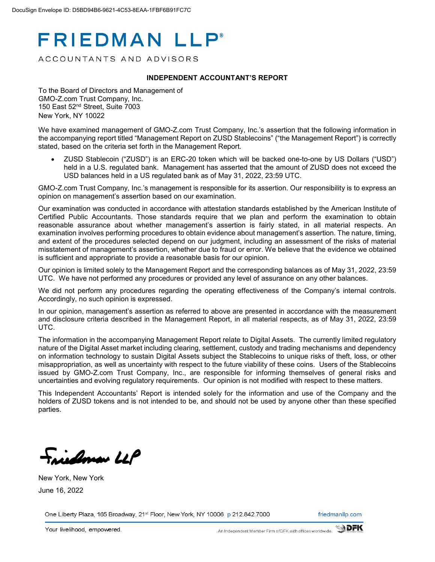# **FRIEDMAN LLP®**

ACCOUNTANTS AND ADVISORS

#### **INDEPENDENT ACCOUNTANT'S REPORT**

To the Board of Directors and Management of GMO-Z.com Trust Company, Inc. 150 East 52nd Street, Suite 7003 New York, NY 10022

We have examined management of GMO-Z.com Trust Company, Inc.'s assertion that the following information in the accompanying report titled "Management Report on ZUSD Stablecoins" ("the Management Report") is correctly stated, based on the criteria set forth in the Management Report.

• ZUSD Stablecoin ("ZUSD") is an ERC-20 token which will be backed one-to-one by US Dollars ("USD") held in a U.S. regulated bank. Management has asserted that the amount of ZUSD does not exceed the USD balances held in a US regulated bank as of May 31, 2022, 23:59 UTC.

GMO-Z.com Trust Company, Inc.'s management is responsible for its assertion. Our responsibility is to express an opinion on management's assertion based on our examination.

Our examination was conducted in accordance with attestation standards established by the American Institute of Certified Public Accountants. Those standards require that we plan and perform the examination to obtain reasonable assurance about whether management's assertion is fairly stated, in all material respects. An examination involves performing procedures to obtain evidence about management's assertion. The nature, timing, and extent of the procedures selected depend on our judgment, including an assessment of the risks of material misstatement of management's assertion, whether due to fraud or error. We believe that the evidence we obtained is sufficient and appropriate to provide a reasonable basis for our opinion.

Our opinion is limited solely to the Management Report and the corresponding balances as of May 31, 2022, 23:59 UTC. We have not performed any procedures or provided any level of assurance on any other balances.

We did not perform any procedures regarding the operating effectiveness of the Company's internal controls. Accordingly, no such opinion is expressed.

In our opinion, management's assertion as referred to above are presented in accordance with the measurement and disclosure criteria described in the Management Report, in all material respects, as of May 31, 2022, 23:59 UTC.

The information in the accompanying Management Report relate to Digital Assets. The currently limited regulatory nature of the Digital Asset market including clearing, settlement, custody and trading mechanisms and dependency on information technology to sustain Digital Assets subject the Stablecoins to unique risks of theft, loss, or other misappropriation, as well as uncertainty with respect to the future viability of these coins. Users of the Stablecoins issued by GMO-Z.com Trust Company, Inc., are responsible for informing themselves of general risks and uncertainties and evolving regulatory requirements. Our opinion is not modified with respect to these matters.

This Independent Accountants' Report is intended solely for the information and use of the Company and the holders of ZUSD tokens and is not intended to be, and should not be used by anyone other than these specified parties.

indonen LLP

New York, New York June 16, 2022

One Liberty Plaza, 165 Broadway, 21st Floor, New York, NY 10006 p 212.842.7000

friedmanllp.com

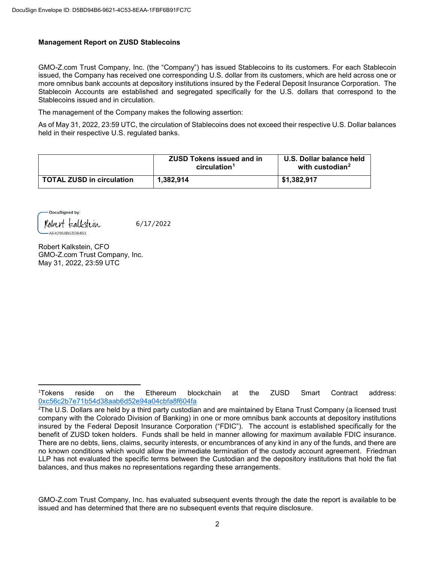### **Management Report on ZUSD Stablecoins**

GMO-Z.com Trust Company, Inc. (the "Company") has issued Stablecoins to its customers. For each Stablecoin issued, the Company has received one corresponding U.S. dollar from its customers, which are held across one or more omnibus bank accounts at depository institutions insured by the Federal Deposit Insurance Corporation. The Stablecoin Accounts are established and segregated specifically for the U.S. dollars that correspond to the Stablecoins issued and in circulation.

The management of the Company makes the following assertion:

As of May 31, 2022, 23:59 UTC, the circulation of Stablecoins does not exceed their respective U.S. Dollar balances held in their respective U.S. regulated banks.

|                                  | <b>ZUSD Tokens issued and in</b><br>circulation <sup>1</sup> | U.S. Dollar balance held<br>with custodian <sup>2</sup> |
|----------------------------------|--------------------------------------------------------------|---------------------------------------------------------|
| <b>TOTAL ZUSD in circulation</b> | 1.382.914                                                    | \$1,382,917                                             |

DocuSigned by: Robert kalkstein

AE42950B53DB463.

6/17/2022

Robert Kalkstein, CFO GMO-Z.com Trust Company, Inc. May 31, 2022, 23:59 UTC

 $\frac{1}{1}$ Tokens reside on the Ethereum blockchain at the ZUSD Smart Contract address: [0xc56c2b7e71b54d38aab6d52e94a04cbfa8f604fa](https://etherscan.io/address/0xc56c2b7e71b54d38aab6d52e94a04cbfa8f604fa)

<sup>2</sup> The U.S. Dollars are held by a third party custodian and are maintained by Etana Trust Company (a licensed trust company with the Colorado Division of Banking) in one or more omnibus bank accounts at depository institutions insured by the Federal Deposit Insurance Corporation ("FDIC"). The account is established specifically for the benefit of ZUSD token holders. Funds shall be held in manner allowing for maximum available FDIC insurance. There are no debts, liens, claims, security interests, or encumbrances of any kind in any of the funds, and there are no known conditions which would allow the immediate termination of the custody account agreement. Friedman LLP has not evaluated the specific terms between the Custodian and the depository institutions that hold the fiat balances, and thus makes no representations regarding these arrangements.

GMO-Z.com Trust Company, Inc. has evaluated subsequent events through the date the report is available to be issued and has determined that there are no subsequent events that require disclosure.